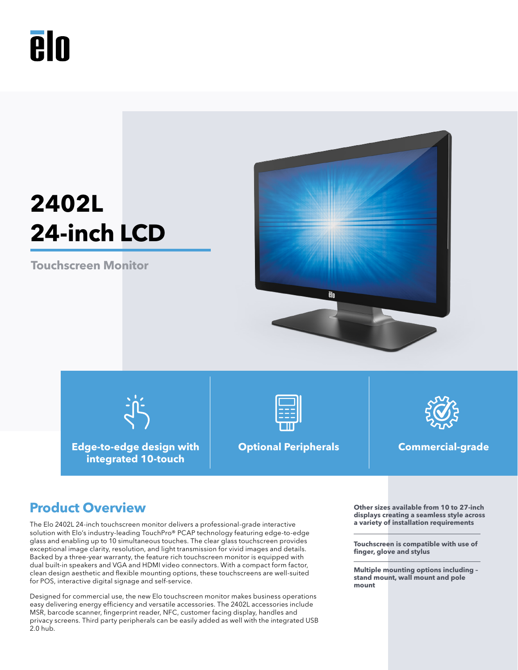# **Aln**

## **2402L 24-inch LCD**

**Touchscreen Monitor**



**Edge-to-edge design with integrated 10-touch**



**Optional Peripherals Commercial-grade**



### **Product Overview OUT A** Other sizes available from 10 to 27-inch

The Elo 2402L 24-inch touchscreen monitor delivers a professional-grade interactive solution with Elo's industry-leading TouchPro® PCAP technology featuring edge-to-edge glass and enabling up to 10 simultaneous touches. The clear glass touchscreen provides exceptional image clarity, resolution, and light transmission for vivid images and details. Backed by a three-year warranty, the feature rich touchscreen monitor is equipped with dual built-in speakers and VGA and HDMI video connectors. With a compact form factor, clean design aesthetic and flexible mounting options, these touchscreens are well-suited for POS, interactive digital signage and self-service.

Designed for commercial use, the new Elo touchscreen monitor makes business operations easy delivering energy efficiency and versatile accessories. The 2402L accessories include MSR, barcode scanner, fingerprint reader, NFC, customer facing display, handles and privacy screens. Third party peripherals can be easily added as well with the integrated USB 2.0 hub.

**displays creating a seamless style across a variety of installation requirements**

**Touchscreen is compatible with use of finger, glove and stylus**

**Multiple mounting options including – stand mount, wall mount and pole mount**